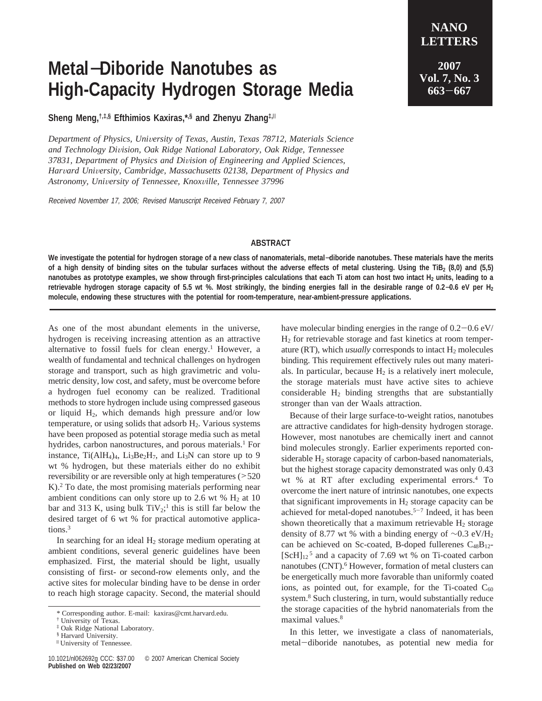## **Metal**−**Diboride Nanotubes as High-Capacity Hydrogen Storage Media**

**Sheng Meng,†,‡,§ Efthimios Kaxiras,\*,§ and Zhenyu Zhang‡,**<sup>|</sup>

*Department of Physics, University of Texas, Austin, Texas 78712, Materials Science and Technology Di*V*ision, Oak Ridge National Laboratory, Oak Ridge, Tennessee 37831, Department of Physics and Di*V*ision of Engineering and Applied Sciences, Har*V*ard Uni*V*ersity, Cambridge, Massachusetts 02138, Department of Physics and* Astronomy, University of Tennessee, Knoxville, Tennessee 37996

Received November 17, 2006; Revised Manuscript Received February 7, 2007

## **ABSTRACT**

**We investigate the potential for hydrogen storage of a new class of nanomaterials, metal**−**diboride nanotubes. These materials have the merits of a high density of binding sites on the tubular surfaces without the adverse effects of metal clustering. Using the TiB2 (8,0) and (5,5)** nanotubes as prototype examples, we show through first-principles calculations that each Ti atom can host two intact H<sub>2</sub> units, leading to a **retrievable hydrogen storage capacity of 5.5 wt %. Most strikingly, the binding energies fall in the desirable range of 0.2**−**0.6 eV per H2 molecule, endowing these structures with the potential for room-temperature, near-ambient-pressure applications.**

As one of the most abundant elements in the universe, hydrogen is receiving increasing attention as an attractive alternative to fossil fuels for clean energy.<sup>1</sup> However, a wealth of fundamental and technical challenges on hydrogen storage and transport, such as high gravimetric and volumetric density, low cost, and safety, must be overcome before a hydrogen fuel economy can be realized. Traditional methods to store hydrogen include using compressed gaseous or liquid  $H_2$ , which demands high pressure and/or low temperature, or using solids that adsorb  $H_2$ . Various systems have been proposed as potential storage media such as metal hydrides, carbon nanostructures, and porous materials.<sup>1</sup> For instance, Ti(AlH<sub>4</sub>)<sub>4</sub>, Li<sub>3</sub>Be<sub>2</sub>H<sub>7</sub>, and Li<sub>3</sub>N can store up to 9 wt % hydrogen, but these materials either do no exhibit reversibility or are reversible only at high temperatures (><sup>520</sup> K).2 To date, the most promising materials performing near ambient conditions can only store up to 2.6 wt  $\%$  H<sub>2</sub> at 10 bar and 313 K, using bulk  $TiV_2$ ;<sup>1</sup> this is still far below the desired target of 6 wt % for practical automotive applications.3

In searching for an ideal  $H_2$  storage medium operating at ambient conditions, several generic guidelines have been emphasized. First, the material should be light, usually consisting of first- or second-row elements only, and the active sites for molecular binding have to be dense in order to reach high storage capacity. Second, the material should have molecular binding energies in the range of  $0.2-0.6$  eV/ H2 for retrievable storage and fast kinetics at room temperature (RT), which *usually* corresponds to intact  $H_2$  molecules binding. This requirement effectively rules out many materials. In particular, because  $H_2$  is a relatively inert molecule, the storage materials must have active sites to achieve considerable  $H_2$  binding strengths that are substantially stronger than van der Waals attraction.

Because of their large surface-to-weight ratios, nanotubes are attractive candidates for high-density hydrogen storage. However, most nanotubes are chemically inert and cannot bind molecules strongly. Earlier experiments reported considerable  $H<sub>2</sub>$  storage capacity of carbon-based nanomaterials, but the highest storage capacity demonstrated was only 0.43 wt % at RT after excluding experimental errors.<sup>4</sup> To overcome the inert nature of intrinsic nanotubes, one expects that significant improvements in  $H_2$  storage capacity can be achieved for metal-doped nanotubes.5-<sup>7</sup> Indeed, it has been shown theoretically that a maximum retrievable  $H_2$  storage density of 8.77 wt % with a binding energy of  $\sim$ 0.3 eV/H<sub>2</sub> can be achieved on Sc-coated, B-doped fullerenes  $C_{48}B_{12}$ - $[Sch]_{12}^5$  and a capacity of 7.69 wt % on Ti-coated carbon nanotubes (CNT).<sup>6</sup> However, formation of metal clusters can be energetically much more favorable than uniformly coated ions, as pointed out, for example, for the Ti-coated  $C_{60}$ system.<sup>8</sup> Such clustering, in turn, would substantially reduce the storage capacities of the hybrid nanomaterials from the maximal values.<sup>8</sup>

In this letter, we investigate a class of nanomaterials, metal-diboride nanotubes, as potential new media for

<sup>\*</sup> Corresponding author. E-mail: kaxiras@cmt.harvard.edu.

<sup>†</sup> University of Texas.

<sup>‡</sup> Oak Ridge National Laboratory.

<sup>§</sup> Harvard University.

<sup>|</sup> University of Tennessee.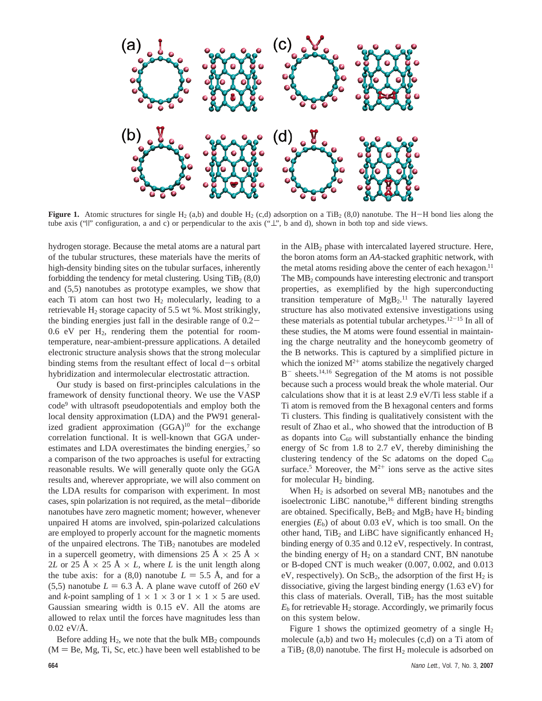

**Figure 1.** Atomic structures for single  $H_2$  (a,b) and double  $H_2$  (c,d) adsorption on a TiB<sub>2</sub> (8,0) nanotube. The H-H bond lies along the tube axis ("|" configuration, a and c) or perpendicular to the axis ("⊥", b and d), shown in both top and side views.

hydrogen storage. Because the metal atoms are a natural part of the tubular structures, these materials have the merits of high-density binding sites on the tubular surfaces, inherently forbidding the tendency for metal clustering. Using  $TiB<sub>2</sub> (8,0)$ and (5,5) nanotubes as prototype examples, we show that each Ti atom can host two  $H_2$  molecularly, leading to a retrievable  $H_2$  storage capacity of 5.5 wt %. Most strikingly, the binding energies just fall in the desirable range of 0.2-  $0.6$  eV per  $H_2$ , rendering them the potential for roomtemperature, near-ambient-pressure applications. A detailed electronic structure analysis shows that the strong molecular binding stems from the resultant effect of local  $d-s$  orbital hybridization and intermolecular electrostatic attraction.

Our study is based on first-principles calculations in the framework of density functional theory. We use the VASP code9 with ultrasoft pseudopotentials and employ both the local density approximation (LDA) and the PW91 generalized gradient approximation  $(GGA)^{10}$  for the exchange correlation functional. It is well-known that GGA underestimates and LDA overestimates the binding energies,<sup>7</sup> so a comparison of the two approaches is useful for extracting reasonable results. We will generally quote only the GGA results and, wherever appropriate, we will also comment on the LDA results for comparison with experiment. In most cases, spin polarization is not required, as the metal-diboride nanotubes have zero magnetic moment; however, whenever unpaired H atoms are involved, spin-polarized calculations are employed to properly account for the magnetic moments of the unpaired electrons. The  $TiB<sub>2</sub>$  nanotubes are modeled in a supercell geometry, with dimensions 25 Å  $\times$  25 Å  $\times$ 2*L* or 25 Å  $\times$  25 Å  $\times$  *L*, where *L* is the unit length along the tube axis: for a (8,0) nanotube  $L = 5.5$  Å, and for a  $(5,5)$  nanotube  $L = 6.3$  Å. A plane wave cutoff of 260 eV and *k*-point sampling of  $1 \times 1 \times 3$  or  $1 \times 1 \times 5$  are used. Gaussian smearing width is 0.15 eV. All the atoms are allowed to relax until the forces have magnitudes less than 0.02 eV/Å.

Before adding  $H_2$ , we note that the bulk  $MB_2$  compounds  $(M = Be, Mg, Ti, Sc, etc.)$  have been well established to be properties, as exemplified by the high superconducting transition temperature of  $MgB_2$ .<sup>11</sup> The naturally layered structure has also motivated extensive investigations using these materials as potential tubular archetypes.<sup>12-15</sup> In all of these studies, the M atoms were found essential in maintaining the charge neutrality and the honeycomb geometry of the B networks. This is captured by a simplified picture in which the ionized  $M^{2+}$  atoms stabilize the negatively charged  $B^-$  sheets.<sup>14,16</sup> Segregation of the M atoms is not possible because such a process would break the whole material. Our calculations show that it is at least 2.9 eV/Ti less stable if a Ti atom is removed from the B hexagonal centers and forms Ti clusters. This finding is qualitatively consistent with the result of Zhao et al., who showed that the introduction of B as dopants into  $C_{60}$  will substantially enhance the binding energy of Sc from 1.8 to 2.7 eV, thereby diminishing the clustering tendency of the Sc adatoms on the doped  $C_{60}$ surface.<sup>5</sup> Moreover, the  $M^{2+}$  ions serve as the active sites for molecular  $H_2$  binding. When  $H_2$  is adsorbed on several  $MB_2$  nanotubes and the isoelectronic LiBC nanotube,<sup>16</sup> different binding strengths

in the AlB<sub>2</sub> phase with intercalated layered structure. Here, the boron atoms form an *AA*-stacked graphitic network, with the metal atoms residing above the center of each hexagon.<sup>11</sup> The MB<sub>2</sub> compounds have interesting electronic and transport

are obtained. Specifically,  $BeB_2$  and  $MgB_2$  have  $H_2$  binding energies  $(E_b)$  of about 0.03 eV, which is too small. On the other hand,  $TiB<sub>2</sub>$  and LiBC have significantly enhanced  $H<sub>2</sub>$ binding energy of 0.35 and 0.12 eV, respectively. In contrast, the binding energy of  $H_2$  on a standard CNT, BN nanotube or B-doped CNT is much weaker (0.007, 0.002, and 0.013 eV, respectively). On  $ScB_2$ , the adsorption of the first  $H_2$  is dissociative, giving the largest binding energy (1.63 eV) for this class of materials. Overall,  $TiB<sub>2</sub>$  has the most suitable  $E<sub>b</sub>$  for retrievable H<sub>2</sub> storage. Accordingly, we primarily focus on this system below.

Figure 1 shows the optimized geometry of a single  $H_2$ molecule  $(a,b)$  and two  $H_2$  molecules  $(c,d)$  on a Ti atom of a TiB<sub>2</sub> (8,0) nanotube. The first  $H_2$  molecule is adsorbed on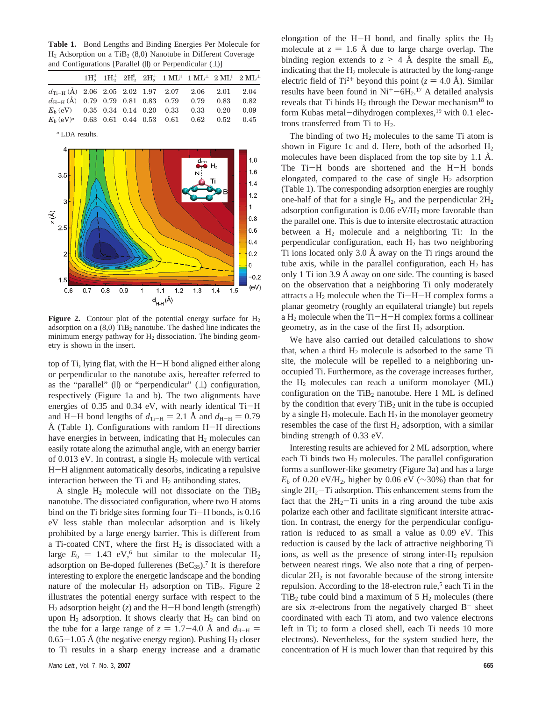**Table 1.** Bond Lengths and Binding Energies Per Molecule for  $H_2$  Adsorption on a TiB<sub>2</sub> (8,0) Nanotube in Different Coverage and Configurations [Parallel (|) or Perpendicular (⊥)]

|                                                                       |  |  |  |  |  | $1\mathrm{H}_2^{\parallel}$ $1\mathrm{H}_2^{\perp}$ $2\mathrm{H}_2^{\parallel}$ $2\mathrm{H}_2^{\perp}$ $1\mathrm{ML}^{\parallel}$ $1\mathrm{ML}^{\perp}$ $2\mathrm{ML}^{\parallel}$ $2\mathrm{ML}^{\perp}$ |      |      |
|-----------------------------------------------------------------------|--|--|--|--|--|-------------------------------------------------------------------------------------------------------------------------------------------------------------------------------------------------------------|------|------|
| $d_{\text{Ti-H}}(\text{\AA})$ 2.06 2.05 2.02 1.97 2.07 2.06 2.01      |  |  |  |  |  |                                                                                                                                                                                                             |      | 2.04 |
| $d_{\text{H-H}}$ (Å) 0.79 0.79 0.81 0.83 0.79 0.79                    |  |  |  |  |  |                                                                                                                                                                                                             | 0.83 | 0.82 |
| $Eb$ (eV) 0.35 0.34 0.14 0.20 0.33 0.33                               |  |  |  |  |  |                                                                                                                                                                                                             | 0.20 | 0.09 |
| $E_{\rm b}$ (eV) <sup>a</sup> 0.63 0.61 0.44 0.53 0.61 0.62 0.52 0.45 |  |  |  |  |  |                                                                                                                                                                                                             |      |      |
| $\alpha$ LDA results.                                                 |  |  |  |  |  |                                                                                                                                                                                                             |      |      |



**Figure 2.** Contour plot of the potential energy surface for  $H_2$ adsorption on a  $(8,0)$  TiB<sub>2</sub> nanotube. The dashed line indicates the minimum energy pathway for  $H_2$  dissociation. The binding geometry is shown in the insert.

top of Ti, lying flat, with the H-H bond aligned either along or perpendicular to the nanotube axis, hereafter referred to as the "parallel" ( $||$ ) or "perpendicular" ( $\bot$ ) configuration, respectively (Figure 1a and b). The two alignments have energies of 0.35 and 0.34 eV, with nearly identical Ti-H and H-H bond lengths of  $d_{\text{Ti-H}} = 2.1$  Å and  $d_{\text{H-H}} = 0.79$  $\AA$  (Table 1). Configurations with random H-H directions have energies in between, indicating that  $H_2$  molecules can easily rotate along the azimuthal angle, with an energy barrier of 0.013 eV. In contrast, a single  $H_2$  molecule with vertical <sup>H</sup>-H alignment automatically desorbs, indicating a repulsive interaction between the Ti and  $H_2$  antibonding states.

A single  $H_2$  molecule will not dissociate on the TiB<sub>2</sub> nanotube. The dissociated configuration, where two H atoms bind on the Ti bridge sites forming four Ti-H bonds, is 0.16 eV less stable than molecular adsorption and is likely prohibited by a large energy barrier. This is different from a Ti-coated CNT, where the first  $H_2$  is dissociated with a large  $E<sub>b</sub> = 1.43$  eV,<sup>6</sup> but similar to the molecular H<sub>2</sub> adsorption on Be-doped fullerenes  $(BeC_{35})$ .<sup>7</sup> It is therefore interesting to explore the energetic landscape and the bonding nature of the molecular  $H_2$  adsorption on TiB<sub>2</sub>. Figure 2 illustrates the potential energy surface with respect to the H2 adsorption height (*z*) and the H-H bond length (strength) upon  $H_2$  adsorption. It shows clearly that  $H_2$  can bind on the tube for a large range of  $z = 1.7-4.0$  Å and  $d_{\text{H-H}} =$  $0.65-1.05$  Å (the negative energy region). Pushing H<sub>2</sub> closer to Ti results in a sharp energy increase and a dramatic elongation of the H-H bond, and finally splits the  $H_2$ molecule at  $z = 1.6$  Å due to large charge overlap. The binding region extends to  $z > 4$  Å despite the small  $E_b$ , indicating that the  $H_2$  molecule is attracted by the long-range electric field of Ti<sup>2+</sup> beyond this point ( $z = 4.0 \text{ Å}$ ). Similar results have been found in  $Ni^+$  –  $6H_2$ .<sup>17</sup> A detailed analysis<br>reveals that Ti binds H<sub>2</sub> through the Dewar mechanism<sup>18</sup> to reveals that Ti binds  $H_2$  through the Dewar mechanism<sup>18</sup> to form Kubas metal-dihydrogen complexes, $19$  with 0.1 electrons transferred from Ti to H2.

The binding of two  $H_2$  molecules to the same Ti atom is shown in Figure 1c and d. Here, both of the adsorbed  $H_2$ molecules have been displaced from the top site by 1.1 Å. The Ti-H bonds are shortened and the H-H bonds elongated, compared to the case of single  $H_2$  adsorption (Table 1). The corresponding adsorption energies are roughly one-half of that for a single  $H_2$ , and the perpendicular  $2H_2$ adsorption configuration is  $0.06$  eV/H<sub>2</sub> more favorable than the parallel one. This is due to intersite electrostatic attraction between a  $H_2$  molecule and a neighboring Ti: In the perpendicular configuration, each  $H_2$  has two neighboring Ti ions located only 3.0 Å away on the Ti rings around the tube axis, while in the parallel configuration, each  $H_2$  has only 1 Ti ion 3.9 Å away on one side. The counting is based on the observation that a neighboring Ti only moderately attracts a  $H_2$  molecule when the Ti-H-H complex forms a planar geometry (roughly an equilateral triangle) but repels a  $H_2$  molecule when the Ti-H-H complex forms a collinear geometry, as in the case of the first  $H_2$  adsorption.

We have also carried out detailed calculations to show that, when a third  $H_2$  molecule is adsorbed to the same Ti site, the molecule will be repelled to a neighboring unoccupied Ti. Furthermore, as the coverage increases further, the  $H_2$  molecules can reach a uniform monolayer (ML) configuration on the  $TiB<sub>2</sub>$  nanotube. Here 1 ML is defined by the condition that every  $TiB<sub>2</sub>$  unit in the tube is occupied by a single  $H_2$  molecule. Each  $H_2$  in the monolayer geometry resembles the case of the first  $H_2$  adsorption, with a similar binding strength of 0.33 eV.

Interesting results are achieved for 2 ML adsorption, where each Ti binds two  $H_2$  molecules. The parallel configuration forms a sunflower-like geometry (Figure 3a) and has a large  $E<sub>b</sub>$  of 0.20 eV/H<sub>2</sub>, higher by 0.06 eV ( $\sim$ 30%) than that for single  $2H_2$ -Ti adsorption. This enhancement stems from the fact that the  $2H_2$ -Ti units in a ring around the tube axis polarize each other and facilitate significant intersite attraction. In contrast, the energy for the perpendicular configuration is reduced to as small a value as 0.09 eV. This reduction is caused by the lack of attractive neighboring Ti ions, as well as the presence of strong inter- $H_2$  repulsion between nearest rings. We also note that a ring of perpendicular  $2H_2$  is not favorable because of the strong intersite repulsion. According to the 18-electron rule,<sup>5</sup> each  $Ti$  in the  $TiB<sub>2</sub>$  tube could bind a maximum of 5  $H<sub>2</sub>$  molecules (there are six  $\pi$ -electrons from the negatively charged B<sup>-</sup> sheet coordinated with each Ti atom, and two valence electrons left in Ti; to form a closed shell, each Ti needs 10 more electrons). Nevertheless, for the system studied here, the concentration of H is much lower than that required by this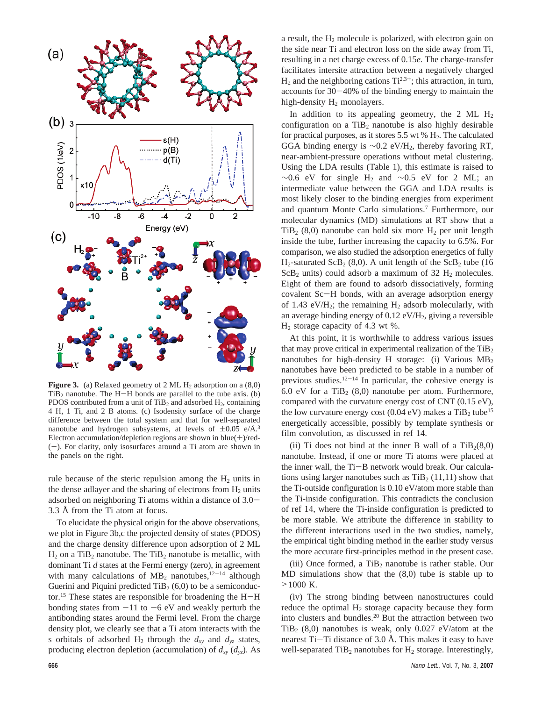

**Figure 3.** (a) Relaxed geometry of 2 ML  $H_2$  adsorption on a  $(8,0)$ TiB<sub>2</sub> nanotube. The H-H bonds are parallel to the tube axis. (b) PDOS contributed from a unit of  $TiB<sub>2</sub>$  and adsorbed  $H<sub>2</sub>$ , containing 4 H, 1 Ti, and 2 B atoms. (c) Isodensity surface of the charge difference between the total system and that for well-separated nanotube and hydrogen subsystems, at levels of  $\pm 0.05$  e/Å.<sup>3</sup> Electron accumulation/depletion regions are shown in blue( $+)/red$ -(-). For clarity, only isosurfaces around a Ti atom are shown in the panels on the right.

rule because of the steric repulsion among the  $H_2$  units in the dense adlayer and the sharing of electrons from  $H_2$  units adsorbed on neighboring Ti atoms within a distance of 3.0- 3.3 Å from the Ti atom at focus.

To elucidate the physical origin for the above observations, we plot in Figure 3b,c the projected density of states (PDOS) and the charge density difference upon adsorption of 2 ML  $H_2$  on a TiB<sub>2</sub> nanotube. The TiB<sub>2</sub> nanotube is metallic, with dominant Ti *d* states at the Fermi energy (zero), in agreement with many calculations of  $MB_2$  nanotubes,  $12-14$  although Guerini and Piquini predicted  $TiB<sub>2</sub> (6,0)$  to be a semiconductor.15 These states are responsible for broadening the H-<sup>H</sup> bonding states from  $-11$  to  $-6$  eV and weakly perturb the antibonding states around the Fermi level. From the charge density plot, we clearly see that a Ti atom interacts with the s orbitals of adsorbed  $H_2$  through the  $d_{xy}$  and  $d_{yz}$  states, producing electron depletion (accumulation) of  $d_{xy}$   $(d_{yz})$ . As

a result, the  $H_2$  molecule is polarized, with electron gain on the side near Ti and electron loss on the side away from Ti, resulting in a net charge excess of 0.15*e.* The charge-transfer facilitates intersite attraction between a negatively charged  $H_2$  and the neighboring cations  $Ti^{2.3+}$ ; this attraction, in turn, accounts for 30-40% of the binding energy to maintain the high-density  $H_2$  monolayers.

In addition to its appealing geometry, the 2 ML  $H_2$ configuration on a  $TiB<sub>2</sub>$  nanotube is also highly desirable for practical purposes, as it stores 5.5 wt %  $H_2$ . The calculated GGA binding energy is  $\sim$ 0.2 eV/H<sub>2</sub>, thereby favoring RT, near-ambient-pressure operations without metal clustering. Using the LDA results (Table 1), this estimate is raised to  $∼0.6$  eV for single H<sub>2</sub> and  $∼0.5$  eV for 2 ML; an intermediate value between the GGA and LDA results is most likely closer to the binding energies from experiment and quantum Monte Carlo simulations.7 Furthermore, our molecular dynamics (MD) simulations at RT show that a TiB<sub>2</sub> (8,0) nanotube can hold six more  $H_2$  per unit length inside the tube, further increasing the capacity to 6.5%. For comparison, we also studied the adsorption energetics of fully  $H_2$ -saturated ScB<sub>2</sub> (8,0). A unit length of the ScB<sub>2</sub> tube (16)  $ScB<sub>2</sub>$  units) could adsorb a maximum of 32 H<sub>2</sub> molecules. Eight of them are found to adsorb dissociatively, forming covalent Sc-H bonds, with an average adsorption energy of 1.43 eV/ $H_2$ ; the remaining  $H_2$  adsorb molecularly, with an average binding energy of  $0.12 \text{ eV/H}_2$ , giving a reversible  $H<sub>2</sub>$  storage capacity of 4.3 wt %.

At this point, it is worthwhile to address various issues that may prove critical in experimental realization of the  $TiB<sub>2</sub>$ nanotubes for high-density H storage: (i) Various  $MB_2$ nanotubes have been predicted to be stable in a number of previous studies.12-<sup>14</sup> In particular, the cohesive energy is 6.0 eV for a  $TiB<sub>2</sub>$  (8,0) nanotube per atom. Furthermore, compared with the curvature energy cost of CNT (0.15 eV), the low curvature energy cost (0.04 eV) makes a  $TiB<sub>2</sub>$  tube<sup>15</sup> energetically accessible, possibly by template synthesis or film convolution, as discussed in ref 14.

(ii) Ti does not bind at the inner B wall of a  $TiB_2(8,0)$ nanotube. Instead, if one or more Ti atoms were placed at the inner wall, the Ti-B network would break. Our calculations using larger nanotubes such as  $TiB<sub>2</sub>$  (11,11) show that the Ti-outside configuration is 0.10 eV/atom more stable than the Ti-inside configuration. This contradicts the conclusion of ref 14, where the Ti-inside configuration is predicted to be more stable. We attribute the difference in stability to the different interactions used in the two studies, namely, the empirical tight binding method in the earlier study versus the more accurate first-principles method in the present case.

(iii) Once formed, a  $TiB<sub>2</sub>$  nanotube is rather stable. Our MD simulations show that the (8,0) tube is stable up to  $>1000$  K.

(iv) The strong binding between nanostructures could reduce the optimal  $H_2$  storage capacity because they form into clusters and bundles.<sup>20</sup> But the attraction between two TiB<sub>2</sub> (8,0) nanotubes is weak, only 0.027 eV/atom at the nearest Ti-Ti distance of 3.0 Å. This makes it easy to have well-separated  $TiB<sub>2</sub>$  nanotubes for  $H<sub>2</sub>$  storage. Interestingly,